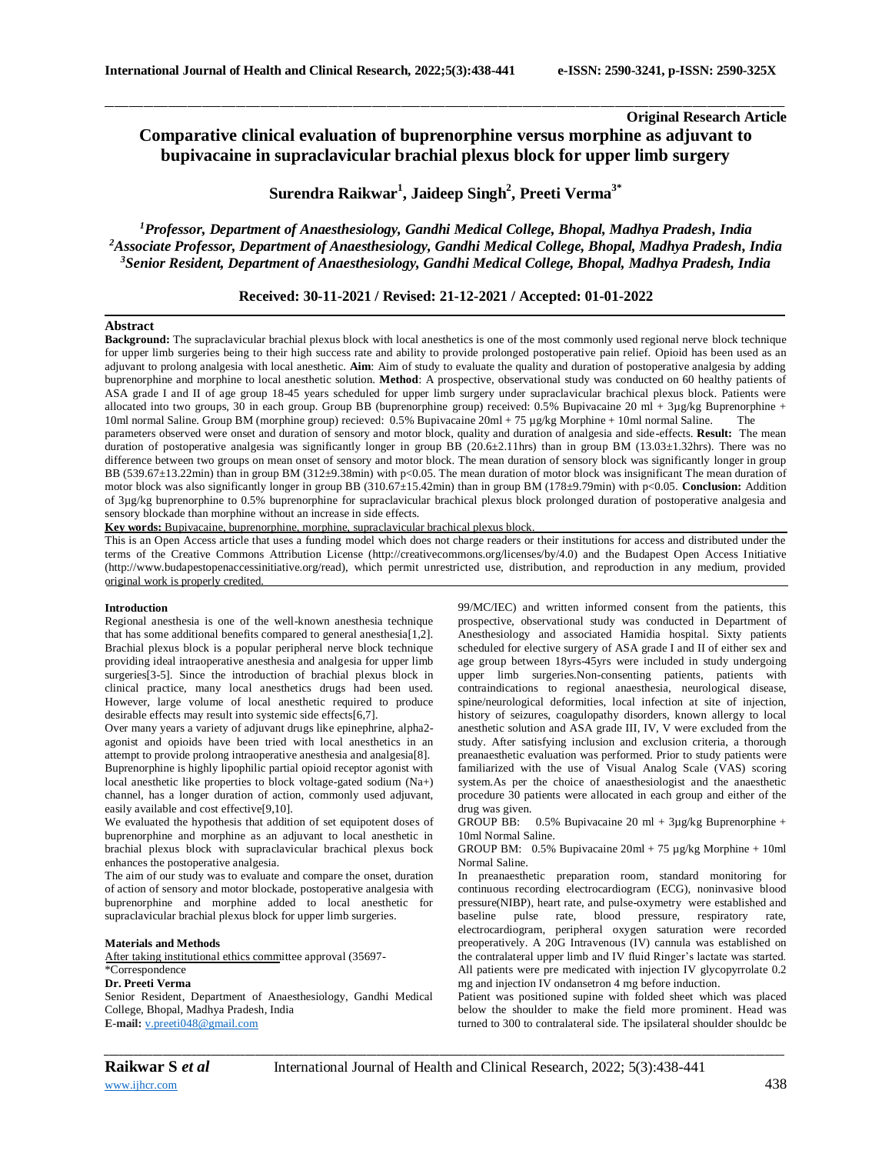# **Original Research Article Comparative clinical evaluation of buprenorphine versus morphine as adjuvant to bupivacaine in supraclavicular brachial plexus block for upper limb surgery**

**Surendra Raikwar<sup>1</sup> , Jaideep Singh<sup>2</sup> , Preeti Verma3\***

\_\_\_\_\_\_\_\_\_\_\_\_\_\_\_\_\_\_\_\_\_\_\_\_\_\_\_\_\_\_\_\_\_\_\_\_\_\_\_\_\_\_\_\_\_\_\_\_\_\_\_\_\_\_\_\_\_\_\_\_\_\_\_\_\_\_\_\_\_\_\_\_\_\_\_\_\_\_\_\_\_\_\_\_\_\_\_\_\_\_\_\_\_\_\_\_\_\_\_\_\_\_\_\_\_\_\_\_\_\_\_\_\_\_\_\_\_\_\_\_\_\_\_\_\_\_\_\_\_\_\_\_\_\_\_\_\_\_\_\_

*<sup>1</sup>Professor, Department of Anaesthesiology, Gandhi Medical College, Bhopal, Madhya Pradesh, India <sup>2</sup>Associate Professor, Department of Anaesthesiology, Gandhi Medical College, Bhopal, Madhya Pradesh, India <sup>3</sup>Senior Resident, Department of Anaesthesiology, Gandhi Medical College, Bhopal, Madhya Pradesh, India*

**Received: 30-11-2021 / Revised: 21-12-2021 / Accepted: 01-01-2022**

#### **Abstract**

**Background:** The supraclavicular brachial plexus block with local anesthetics is one of the most commonly used regional nerve block technique for upper limb surgeries being to their high success rate and ability to provide prolonged postoperative pain relief. Opioid has been used as an adjuvant to prolong analgesia with local anesthetic. **Aim**: Aim of study to evaluate the quality and duration of postoperative analgesia by adding buprenorphine and morphine to local anesthetic solution. **Method**: A prospective, observational study was conducted on 60 healthy patients of ASA grade I and II of age group 18-45 years scheduled for upper limb surgery under supraclavicular brachical plexus block. Patients were allocated into two groups, 30 in each group. Group BB (buprenorphine group) received: 0.5% Bupivacaine 20 ml + 3µg/kg Buprenorphine + 10ml normal Saline. Group BM (morphine group) recieved: 0.5% Bupivacaine 20ml + 75 µg/kg Morphine + 10ml normal Saline. The

parameters observed were onset and duration of sensory and motor block, quality and duration of analgesia and side-effects. **Result:** The mean duration of postoperative analgesia was significantly longer in group BB (20.6 $\pm$ 2.11hrs) than in group BM (13.03 $\pm$ 1.32hrs). There was no difference between two groups on mean onset of sensory and motor block. The mean duration of sensory block was significantly longer in group BB (539.67±13.22min) than in group BM (312±9.38min) with p<0.05. The mean duration of motor block was insignificant The mean duration of motor block was also significantly longer in group BB (310.67±15.42min) than in group BM (178±9.79min) with p<0.05. **Conclusion:** Addition of 3µg/kg buprenorphine to 0.5% buprenorphine for supraclavicular brachical plexus block prolonged duration of postoperative analgesia and sensory blockade than morphine without an increase in side effects.

**Key words:** Bupivacaine, buprenorphine, morphine, supraclavicular brachical plexus block.

This is an Open Access article that uses a funding model which does not charge readers or their institutions for access and distributed under the terms of the Creative Commons Attribution License (http://creativecommons.org/licenses/by/4.0) and the Budapest Open Access Initiative (http://www.budapestopenaccessinitiative.org/read), which permit unrestricted use, distribution, and reproduction in any medium, provided original work is properly credited.

#### **Introduction**

Regional anesthesia is one of the well-known anesthesia technique that has some additional benefits compared to general anesthesia[1,2]. Brachial plexus block is a popular peripheral nerve block technique providing ideal intraoperative anesthesia and analgesia for upper limb surgeries[3-5]. Since the introduction of brachial plexus block in clinical practice, many local anesthetics drugs had been used. However, large volume of local anesthetic required to produce desirable effects may result into systemic side effects[6,7].

Over many years a variety of adjuvant drugs like epinephrine, alpha2 agonist and opioids have been tried with local anesthetics in an attempt to provide prolong intraoperative anesthesia and analgesia[8]. Buprenorphine is highly lipophilic partial opioid receptor agonist with local anesthetic like properties to block voltage-gated sodium (Na+) channel, has a longer duration of action, commonly used adjuvant, easily available and cost effective[9,10].

We evaluated the hypothesis that addition of set equipotent doses of buprenorphine and morphine as an adjuvant to local anesthetic in brachial plexus block with supraclavicular brachical plexus bock enhances the postoperative analgesia.

The aim of our study was to evaluate and compare the onset, duration of action of sensory and motor blockade, postoperative analgesia with buprenorphine and morphine added to local anesthetic for supraclavicular brachial plexus block for upper limb surgeries.

#### **Materials and Methods**

After taking institutional ethics committee approval (35697-

## \*Correspondence

**Dr. Preeti Verma** Senior Resident, Department of Anaesthesiology, Gandhi Medical College, Bhopal, Madhya Pradesh, India **E-mail:** [v.preeti048@gmail.com](mailto:v.preeti048@gmail.com)

99/MC/IEC) and written informed consent from the patients, this prospective, observational study was conducted in Department of Anesthesiology and associated Hamidia hospital. Sixty patients scheduled for elective surgery of ASA grade I and II of either sex and age group between 18yrs-45yrs were included in study undergoing upper limb surgeries.Non-consenting patients, patients with contraindications to regional anaesthesia, neurological disease, spine/neurological deformities, local infection at site of injection, history of seizures, coagulopathy disorders, known allergy to local anesthetic solution and ASA grade III, IV, V were excluded from the study. After satisfying inclusion and exclusion criteria, a thorough preanaesthetic evaluation was performed. Prior to study patients were familiarized with the use of Visual Analog Scale (VAS) scoring system.As per the choice of anaesthesiologist and the anaesthetic procedure 30 patients were allocated in each group and either of the drug was given.

GROUP BB: 0.5% Bupivacaine 20 ml + 3µg/kg Buprenorphine + 10ml Normal Saline.

GROUP BM: 0.5% Bupivacaine 20ml + 75 µg/kg Morphine + 10ml Normal Saline.

In preanaesthetic preparation room, standard monitoring for continuous recording electrocardiogram (ECG), noninvasive blood pressure(NIBP), heart rate, and pulse-oxymetry were established and baseline pulse rate, blood pressure, respiratory rate, electrocardiogram, peripheral oxygen saturation were recorded preoperatively. A 20G Intravenous (IV) cannula was established on the contralateral upper limb and IV fluid Ringer's lactate was started. All patients were pre medicated with injection IV glycopyrrolate 0.2 mg and injection IV ondansetron 4 mg before induction.

Patient was positioned supine with folded sheet which was placed below the shoulder to make the field more prominent. Head was turned to 300 to contralateral side. The ipsilateral shoulder shouldc be

*\_\_\_\_\_\_\_\_\_\_\_\_\_\_\_\_\_\_\_\_\_\_\_\_\_\_\_\_\_\_\_\_\_\_\_\_\_\_\_\_\_\_\_\_\_\_\_\_\_\_\_\_\_\_\_\_\_\_\_\_\_\_\_\_\_\_\_\_\_\_\_\_\_\_\_\_\_\_\_\_\_\_\_\_\_\_\_\_\_\_\_\_\_\_\_\_\_\_\_\_\_\_\_\_\_\_\_\_\_\_\_\_\_\_\_\_\_\_\_\_\_\_\_\_\_\_\_\_\_\_\_\_\_\_\_\_\_\_\_\_*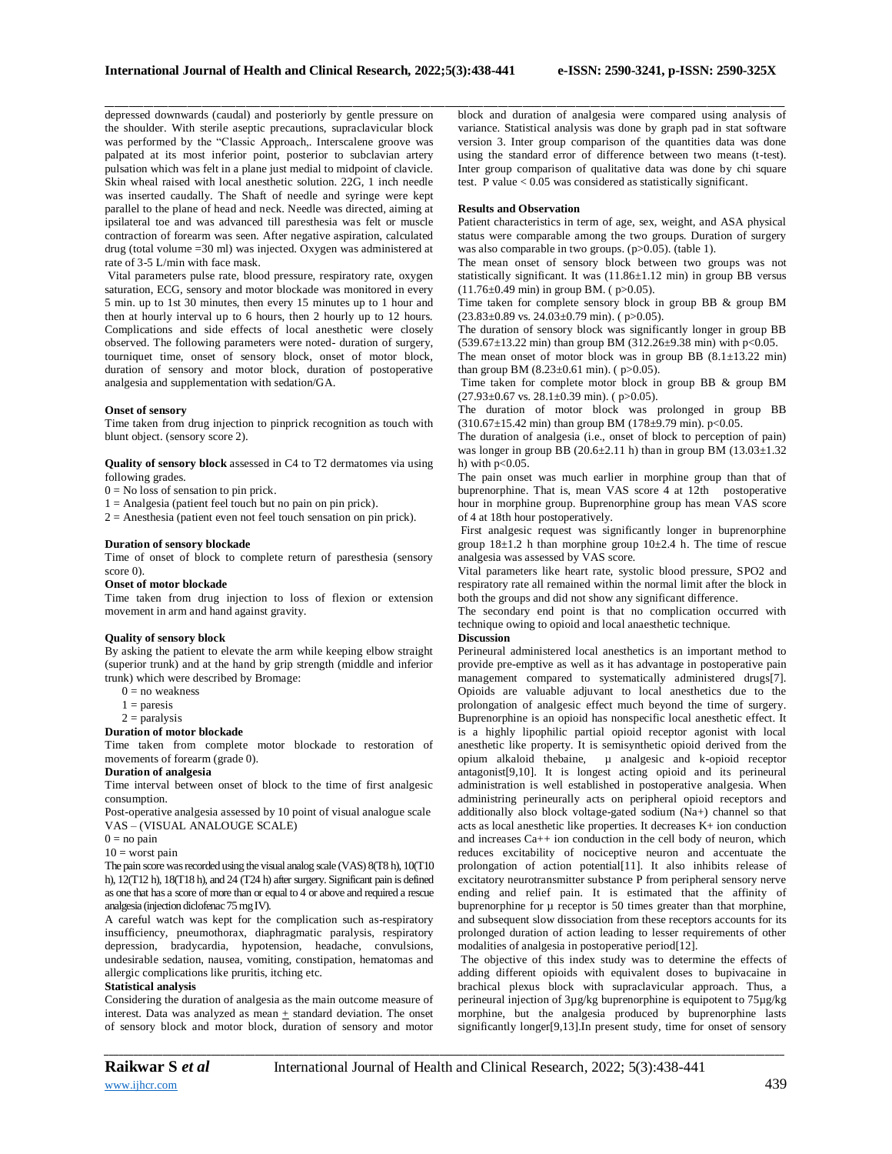depressed downwards (caudal) and posteriorly by gentle pressure on the shoulder. With sterile aseptic precautions, supraclavicular block was performed by the "Classic Approach,. Interscalene groove was palpated at its most inferior point, posterior to subclavian artery pulsation which was felt in a plane just medial to midpoint of clavicle. Skin wheal raised with local anesthetic solution. 22G, 1 inch needle was inserted caudally. The Shaft of needle and syringe were kept parallel to the plane of head and neck. Needle was directed, aiming at ipsilateral toe and was advanced till paresthesia was felt or muscle contraction of forearm was seen. After negative aspiration, calculated drug (total volume =30 ml) was injected. Oxygen was administered at rate of 3-5 L/min with face mask.

Vital parameters pulse rate, blood pressure, respiratory rate, oxygen saturation, ECG, sensory and motor blockade was monitored in every 5 min. up to 1st 30 minutes, then every 15 minutes up to 1 hour and then at hourly interval up to 6 hours, then 2 hourly up to 12 hours. Complications and side effects of local anesthetic were closely observed. The following parameters were noted- duration of surgery, tourniquet time, onset of sensory block, onset of motor block, duration of sensory and motor block, duration of postoperative analgesia and supplementation with sedation/GA.

#### **Onset of sensory**

Time taken from drug injection to pinprick recognition as touch with blunt object. (sensory score 2).

**Quality of sensory block** assessed in C4 to T2 dermatomes via using following grades.

 $0 = No$  loss of sensation to pin prick.

 $1 =$  Analgesia (patient feel touch but no pain on pin prick).

 $2 =$  Anesthesia (patient even not feel touch sensation on pin prick).

### **Duration of sensory blockade**

Time of onset of block to complete return of paresthesia (sensory score 0).

### **Onset of motor blockade**

Time taken from drug injection to loss of flexion or extension movement in arm and hand against gravity.

#### **Quality of sensory block**

By asking the patient to elevate the arm while keeping elbow straight (superior trunk) and at the hand by grip strength (middle and inferior trunk) which were described by Bromage:

- $0 = no$  weakness
- $1 = \text{paresis}$
- $2 =$  paralysis

#### **Duration of motor blockade**

Time taken from complete motor blockade to restoration of movements of forearm (grade 0).

#### **Duration of analgesia**

Time interval between onset of block to the time of first analgesic consumption.

Post-operative analgesia assessed by 10 point of visual analogue scale VAS – (VISUAL ANALOUGE SCALE)

 $0 = no$  pain

## $10 =$  worst pain

The pain score was recorded using the visual analog scale (VAS) 8(T8 h), 10(T10 h), 12(T12 h), 18(T18 h), and 24 (T24 h) after surgery. Significant pain is defined as one that has a score of more than or equal to 4 or above and required a rescue analgesia (injection diclofenac 75 mg IV).

A careful watch was kept for the complication such as-respiratory insufficiency, pneumothorax, diaphragmatic paralysis, respiratory depression, bradycardia, hypotension, headache, convulsions, undesirable sedation, nausea, vomiting, constipation, hematomas and allergic complications like pruritis, itching etc.

## **Statistical analysis**

Considering the duration of analgesia as the main outcome measure of interest. Data was analyzed as mean  $+$  standard deviation. The onset of sensory block and motor block, duration of sensory and motor

#### **Results and Observation**

\_\_\_\_\_\_\_\_\_\_\_\_\_\_\_\_\_\_\_\_\_\_\_\_\_\_\_\_\_\_\_\_\_\_\_\_\_\_\_\_\_\_\_\_\_\_\_\_\_\_\_\_\_\_\_\_\_\_\_\_\_\_\_\_\_\_\_\_\_\_\_\_\_\_\_\_\_\_\_\_\_\_\_\_\_\_\_\_\_\_\_\_\_\_\_\_\_\_\_\_\_\_\_\_\_\_\_\_\_\_\_\_\_\_\_\_\_\_\_\_\_\_\_\_\_\_\_\_\_\_\_\_\_\_\_\_\_\_\_\_

Patient characteristics in term of age, sex, weight, and ASA physical status were comparable among the two groups. Duration of surgery was also comparable in two groups. (p>0.05). (table 1).

The mean onset of sensory block between two groups was not statistically significant. It was  $(11.86 \pm 1.12 \text{ min})$  in group BB versus  $(11.76\pm0.49 \text{ min})$  in group BM. (p>0.05).

Time taken for complete sensory block in group BB & group BM  $(23.83\pm0.89 \text{ vs. } 24.03\pm0.79 \text{ min})$ . ( $p > 0.05$ ).

The duration of sensory block was significantly longer in group BB  $(539.67 \pm 13.22 \text{ min})$  than group BM  $(312.26 \pm 9.38 \text{ min})$  with p<0.05.

The mean onset of motor block was in group BB  $(8.1 \pm 13.22 \text{ min})$ than group BM  $(8.23 \pm 0.61 \text{ min})$ . ( $p > 0.05$ ).

Time taken for complete motor block in group BB & group BM  $(27.93\pm0.67 \text{ vs. } 28.1\pm0.39 \text{ min})$ . ( $p>0.05$ ).

The duration of motor block was prolonged in group BB  $(310.67 \pm 15.42 \text{ min})$  than group BM  $(178 \pm 9.79 \text{ min})$ . p<0.05.

The duration of analgesia (i.e., onset of block to perception of pain) was longer in group BB (20.6 $\pm$ 2.11 h) than in group BM (13.03 $\pm$ 1.32 h) with  $p<0.05$ .

The pain onset was much earlier in morphine group than that of buprenorphine. That is, mean VAS score  $4$  at 12th postoperative hour in morphine group. Buprenorphine group has mean VAS score of 4 at 18th hour postoperatively.

First analgesic request was significantly longer in buprenorphine group  $18\pm1.2$  h than morphine group  $10\pm2.4$  h. The time of rescue analgesia was assessed by VAS score.

Vital parameters like heart rate, systolic blood pressure, SPO2 and respiratory rate all remained within the normal limit after the block in both the groups and did not show any significant difference.

The secondary end point is that no complication occurred with technique owing to opioid and local anaesthetic technique.

## **Discussion**

Perineural administered local anesthetics is an important method to provide pre-emptive as well as it has advantage in postoperative pain management compared to systematically administered drugs[7]. Opioids are valuable adjuvant to local anesthetics due to the prolongation of analgesic effect much beyond the time of surgery. Buprenorphine is an opioid has nonspecific local anesthetic effect. It is a highly lipophilic partial opioid receptor agonist with local anesthetic like property. It is semisynthetic opioid derived from the opium alkaloid thebaine, µ analgesic and k-opioid receptor antagonist[9,10]. It is longest acting opioid and its perineural administration is well established in postoperative analgesia. When administring perineurally acts on peripheral opioid receptors and additionally also block voltage-gated sodium (Na+) channel so that acts as local anesthetic like properties. It decreases K+ ion conduction and increases Ca++ ion conduction in the cell body of neuron, which reduces excitability of nociceptive neuron and accentuate the prolongation of action potential[11]. It also inhibits release of excitatory neurotransmitter substance P from peripheral sensory nerve ending and relief pain. It is estimated that the affinity of buprenorphine for  $\mu$  receptor is 50 times greater than that morphine, and subsequent slow dissociation from these receptors accounts for its prolonged duration of action leading to lesser requirements of other modalities of analgesia in postoperative period[12].

The objective of this index study was to determine the effects of adding different opioids with equivalent doses to bupivacaine in brachical plexus block with supraclavicular approach. Thus, a perineural injection of 3µg/kg buprenorphine is equipotent to 75µg/kg morphine, but the analgesia produced by buprenorphine lasts significantly longer[9,13].In present study, time for onset of sensory

*\_\_\_\_\_\_\_\_\_\_\_\_\_\_\_\_\_\_\_\_\_\_\_\_\_\_\_\_\_\_\_\_\_\_\_\_\_\_\_\_\_\_\_\_\_\_\_\_\_\_\_\_\_\_\_\_\_\_\_\_\_\_\_\_\_\_\_\_\_\_\_\_\_\_\_\_\_\_\_\_\_\_\_\_\_\_\_\_\_\_\_\_\_\_\_\_\_\_\_\_\_\_\_\_\_\_\_\_\_\_\_\_\_\_\_\_\_\_\_\_\_\_\_\_\_\_\_\_\_\_\_\_\_\_\_\_\_\_\_\_*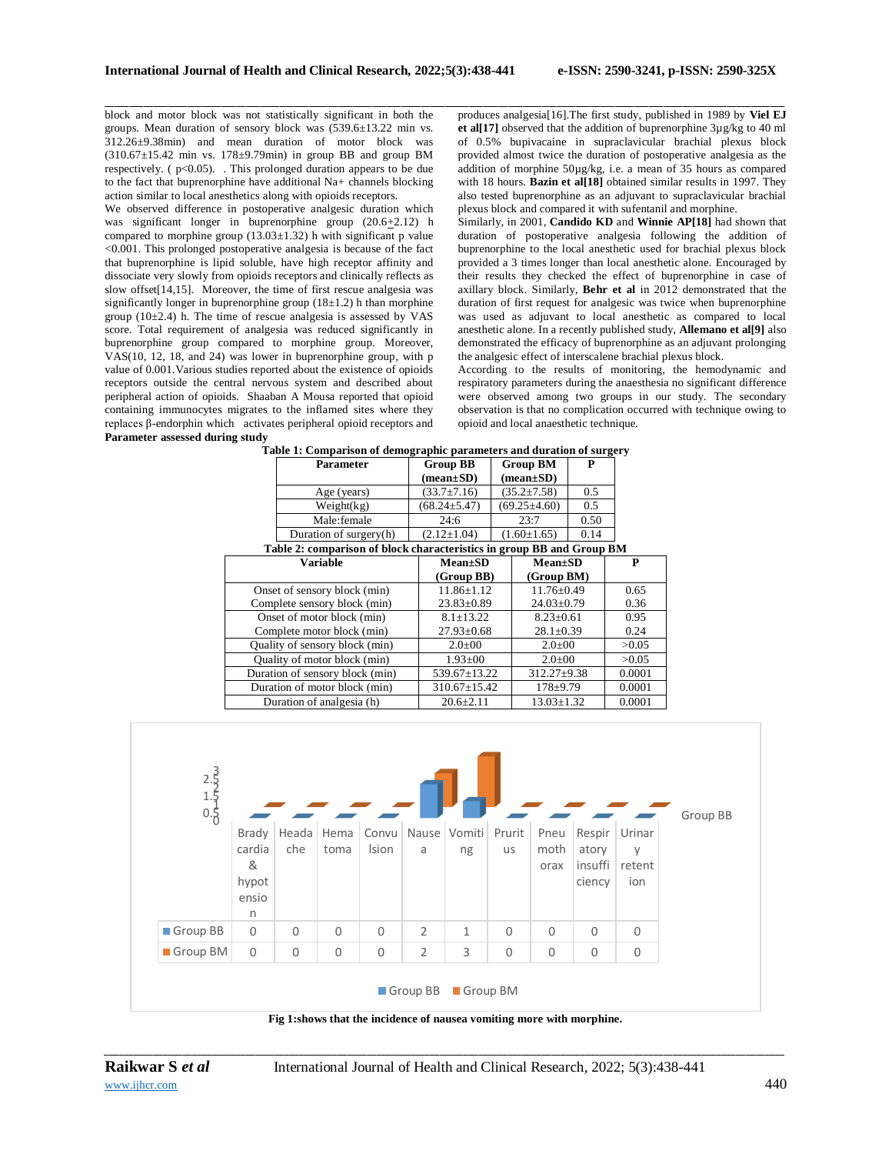\_\_\_\_\_\_\_\_\_\_\_\_\_\_\_\_\_\_\_\_\_\_\_\_\_\_\_\_\_\_\_\_\_\_\_\_\_\_\_\_\_\_\_\_\_\_\_\_\_\_\_\_\_\_\_\_\_\_\_\_\_\_\_\_\_\_\_\_\_\_\_\_\_\_\_\_\_\_\_\_\_\_\_\_\_\_\_\_\_\_\_\_\_\_\_\_\_\_\_\_\_\_\_\_\_\_\_\_\_\_\_\_\_\_\_\_\_\_\_\_\_\_\_\_\_\_\_\_\_\_\_\_\_\_\_\_\_\_\_\_ block and motor block was not statistically significant in both the groups. Mean duration of sensory block was (539.6±13.22 min vs. 312.26±9.38min) and mean duration of motor block was (310.67±15.42 min vs. 178±9.79min) in group BB and group BM respectively. (  $p<0.05$ ). . This prolonged duration appears to be due to the fact that buprenorphine have additional Na+ channels blocking action similar to local anesthetics along with opioids receptors.

We observed difference in postoperative analgesic duration which was significant longer in buprenorphine group (20.6+2.12) h compared to morphine group  $(13.03 \pm 1.32)$  h with significant p value <0.001. This prolonged postoperative analgesia is because of the fact that buprenorphine is lipid soluble, have high receptor affinity and dissociate very slowly from opioids receptors and clinically reflects as slow offset[14,15]. Moreover, the time of first rescue analgesia was significantly longer in buprenorphine group  $(18±1.2)$  h than morphine group (10 $\pm$ 2.4) h. The time of rescue analgesia is assessed by VAS score. Total requirement of analgesia was reduced significantly in buprenorphine group compared to morphine group. Moreover, VAS(10, 12, 18, and 24) was lower in buprenorphine group, with p value of 0.001.Various studies reported about the existence of opioids receptors outside the central nervous system and described about peripheral action of opioids. Shaaban A Mousa reported that opioid containing immunocytes migrates to the inflamed sites where they replaces β-endorphin which activates peripheral opioid receptors and **Parameter assessed during study**

produces analgesia[16].The first study, published in 1989 by **Viel EJ et al[17]** observed that the addition of buprenorphine 3µg/kg to 40 ml of 0.5% bupivacaine in supraclavicular brachial plexus block provided almost twice the duration of postoperative analgesia as the addition of morphine 50µg/kg, i.e. a mean of 35 hours as compared with 18 hours. **Bazin et al[18]** obtained similar results in 1997. They also tested buprenorphine as an adjuvant to supraclavicular brachial plexus block and compared it with sufentanil and morphine.

Similarly, in 2001, **Candido KD** and **Winnie AP[18]** had shown that duration of postoperative analgesia following the addition of buprenorphine to the local anesthetic used for brachial plexus block provided a 3 times longer than local anesthetic alone. Encouraged by their results they checked the effect of buprenorphine in case of axillary block. Similarly, **Behr et al** in 2012 demonstrated that the duration of first request for analgesic was twice when buprenorphine was used as adjuvant to local anesthetic as compared to local anesthetic alone. In a recently published study, **Allemano et al[9]** also demonstrated the efficacy of buprenorphine as an adjuvant prolonging the analgesic effect of interscalene brachial plexus block.

According to the results of monitoring, the hemodynamic and respiratory parameters during the anaesthesia no significant difference were observed among two groups in our study. The secondary observation is that no complication occurred with technique owing to opioid and local anaesthetic technique.

|                                                                       | Parameter              | <b>Group BB</b>    |               | <b>Group BM</b>                | P                |        |
|-----------------------------------------------------------------------|------------------------|--------------------|---------------|--------------------------------|------------------|--------|
|                                                                       |                        | $(mean \pm SD)$    |               | $(\text{mean}\pm S\textbf{D})$ |                  |        |
|                                                                       | Age (years)            | $(33.7 \pm 7.16)$  |               | $(35.2 \pm 7.58)$              | 0.5              |        |
|                                                                       | Weight(kg)             | $(68.24 \pm 5.47)$ |               | $(69.25 \pm 4.60)$             | 0.5              |        |
|                                                                       | Male:female            | 24:6               |               | 23:7                           | 0.50             |        |
|                                                                       | Duration of surgery(h) | $(2.12 \pm 1.04)$  |               | $(1.60 \pm 1.65)$              | 0.14             |        |
| Table 2: comparison of block characteristics in group BB and Group BM |                        |                    |               |                                |                  |        |
| Variable                                                              |                        | $Mean \pm SD$      | $Mean \pm SD$ |                                |                  | P      |
|                                                                       |                        | (Group BB)         |               | (Group BM)                     |                  |        |
| Onset of sensory block (min)                                          |                        | $11.86 \pm 1.12$   |               | $11.76 \pm 0.49$               |                  | 0.65   |
| Complete sensory block (min)                                          |                        | $23.83 \pm 0.89$   |               | $24.03 \pm 0.79$               |                  | 0.36   |
| Onset of motor block (min)                                            |                        | $8.1 + 13.22$      |               | $8.23 + 0.61$                  |                  | 0.95   |
| Complete motor block (min)                                            |                        | $27.93 \pm 0.68$   |               | $28.1 \pm 0.39$                |                  | 0.24   |
| Quality of sensory block (min)                                        |                        | $2.0 \pm 00$       |               | $2.0 \pm 00$                   |                  | >0.05  |
| Quality of motor block (min)                                          |                        | $1.93 \pm 00$      |               | $2.0 \pm 00$                   |                  | >0.05  |
| Duration of sensory block (min)                                       |                        | 539.67±13.22       |               | $312.27 \pm 9.38$              |                  | 0.0001 |
| Duration of motor block (min)                                         |                        | $310.67 \pm 15.42$ |               | $178 + 9.79$                   |                  | 0.0001 |
| Duration of analgesia (h)                                             |                        | $20.6 + 2.11$      |               |                                | $13.03 \pm 1.32$ |        |

**Table 1: Comparison of demographic parameters and duration of surgery**



*\_\_\_\_\_\_\_\_\_\_\_\_\_\_\_\_\_\_\_\_\_\_\_\_\_\_\_\_\_\_\_\_\_\_\_\_\_\_\_\_\_\_\_\_\_\_\_\_\_\_\_\_\_\_\_\_\_\_\_\_\_\_\_\_\_\_\_\_\_\_\_\_\_\_\_\_\_\_\_\_\_\_\_\_\_\_\_\_\_\_\_\_\_\_\_\_\_\_\_\_\_\_\_\_\_\_\_\_\_\_\_\_\_\_\_\_\_\_\_\_\_\_\_\_\_\_\_\_\_\_\_\_\_\_\_\_\_\_\_\_* [www.ijhcr.com](http://www.ijhcr.com/) **440**